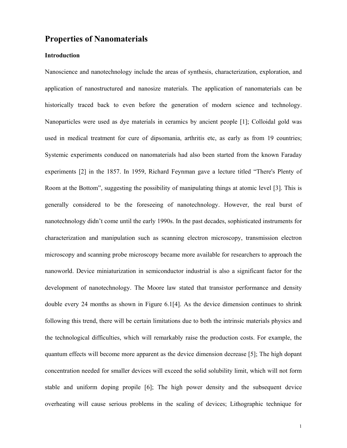# **Properties of Nanomaterials**

## **Introduction**

Nanoscience and nanotechnology include the areas of synthesis, characterization, exploration, and application of nanostructured and nanosize materials. The application of nanomaterials can be historically traced back to even before the generation of modern science and technology. Nanoparticles were used as dye materials in ceramics by ancient people [1]; Colloidal gold was used in medical treatment for cure of dipsomania, arthritis etc, as early as from 19 countries; Systemic experiments conduced on nanomaterials had also been started from the known Faraday experiments [2] in the 1857. In 1959, Richard Feynman gave a lecture titled "There's Plenty of Room at the Bottom", suggesting the possibility of manipulating things at atomic level [3]. This is generally considered to be the foreseeing of nanotechnology. However, the real burst of nanotechnology didn't come until the early 1990s. In the past decades, sophisticated instruments for characterization and manipulation such as scanning electron microscopy, transmission electron microscopy and scanning probe microscopy became more available for researchers to approach the nanoworld. Device miniaturization in semiconductor industrial is also a significant factor for the development of nanotechnology. The Moore law stated that transistor performance and density double every 24 months as shown in Figure 6.1[4]. As the device dimension continues to shrink following this trend, there will be certain limitations due to both the intrinsic materials physics and the technological difficulties, which will remarkably raise the production costs. For example, the quantum effects will become more apparent as the device dimension decrease [5]; The high dopant concentration needed for smaller devices will exceed the solid solubility limit, which will not form stable and uniform doping propile [6]; The high power density and the subsequent device overheating will cause serious problems in the scaling of devices; Lithographic technique for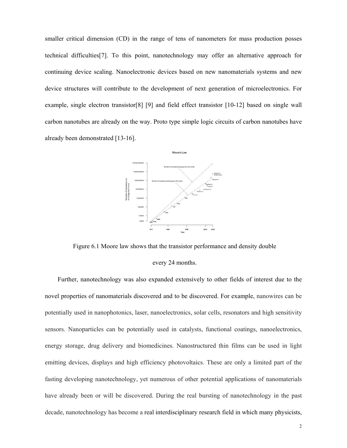smaller critical dimension (CD) in the range of tens of nanometers for mass production posses technical difficulties[7]. To this point, nanotechnology may offer an alternative approach for continuing device scaling. Nanoelectronic devices based on new nanomaterials systems and new device structures will contribute to the development of next generation of microelectronics. For example, single electron transistor[8] [9] and field effect transistor [10-12] based on single wall carbon nanotubes are already on the way. Proto type simple logic circuits of carbon nanotubes have already been demonstrated [13-16].



Figure 6.1 Moore law shows that the transistor performance and density double

#### every 24 months.

Further, nanotechnology was also expanded extensively to other fields of interest due to the novel properties of nanomaterials discovered and to be discovered. For example, nanowires can be potentially used in nanophotonics, laser, nanoelectronics, solar cells, resonators and high sensitivity sensors. Nanoparticles can be potentially used in catalysts, functional coatings, nanoelectronics, energy storage, drug delivery and biomedicines. Nanostructured thin films can be used in light emitting devices, displays and high efficiency photovoltaics. These are only a limited part of the fasting developing nanotechnology, yet numerous of other potential applications of nanomaterials have already been or will be discovered. During the real bursting of nanotechnology in the past decade, nanotechnology has become a real interdisciplinary research field in which many physicists,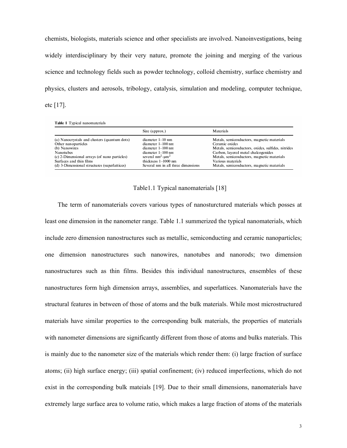chemists, biologists, materials science and other specialists are involved. Nanoinvestigations, being widely interdisciplinary by their very nature, promote the joining and merging of the various science and technology fields such as powder technology, colloid chemistry, surface chemistry and physics, clusters and aerosols, tribology, catalysis, simulation and modeling, computer technique, etc [17].

Table 1 Typical nanomaterials

|                                              | Size (approx.)                     | Materials                                          |
|----------------------------------------------|------------------------------------|----------------------------------------------------|
| (a) Nanocrystals and clusters (quantum dots) | diameter 1-10 nm                   | Metals, semiconductors, magnetic materials         |
| Other nanoparticles                          | diameter 1-100 nm                  | Ceramic oxides                                     |
| (b) Nanowires                                | diameter 1-100 nm                  | Metals, semiconductors, oxides, sulfides, nitrides |
| <b>Nanotubes</b>                             | diameter 1-100 nm                  | Carbon, lavered metal chalcogenides                |
| (c) 2-Dimensional arrays (of nano particles) | several $nm^2$ -um <sup>2</sup>    | Metals, semiconductors, magnetic materials         |
| Surfaces and thin films                      | thickness 1-1000 nm                | Various materials                                  |
| (d) 3-Dimensional structures (superlattices) | Several nm in all three dimensions | Metals, semiconductors, magnetic materials         |

#### Table1.1 Typical nanomaterials [18]

The term of nanomaterials covers various types of nanosturctured materials which posses at least one dimension in the nanometer range. Table 1.1 summerized the typical nanomaterials, which include zero dimension nanostructures such as metallic, semiconducting and ceramic nanoparticles; one dimension nanostructures such nanowires, nanotubes and nanorods; two dimension nanostructures such as thin films. Besides this individual nanostructures, ensembles of these nanostructures form high dimension arrays, assemblies, and superlattices. Nanomaterials have the structural features in between of those of atoms and the bulk materials. While most microstructured materials have similar properties to the corresponding bulk materials, the properties of materials with nanometer dimensions are significantly different from those of atoms and bulks materials. This is mainly due to the nanometer size of the materials which render them: (i) large fraction of surface atoms; (ii) high surface energy; (iii) spatial confinement; (iv) reduced imperfections, which do not exist in the corresponding bulk mateials [19]. Due to their small dimensions, nanomaterials have extremely large surface area to volume ratio, which makes a large fraction of atoms of the materials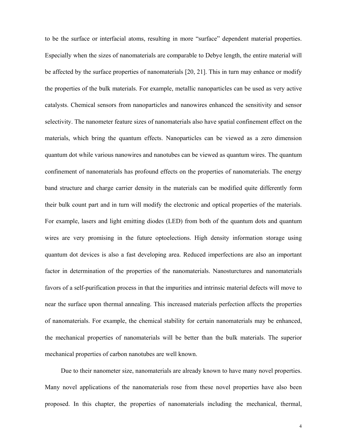to be the surface or interfacial atoms, resulting in more "surface" dependent material properties. Especially when the sizes of nanomaterials are comparable to Debye length, the entire material will be affected by the surface properties of nanomaterials [20, 21]. This in turn may enhance or modify the properties of the bulk materials. For example, metallic nanoparticles can be used as very active catalysts. Chemical sensors from nanoparticles and nanowires enhanced the sensitivity and sensor selectivity. The nanometer feature sizes of nanomaterials also have spatial confinement effect on the materials, which bring the quantum effects. Nanoparticles can be viewed as a zero dimension quantum dot while various nanowires and nanotubes can be viewed as quantum wires. The quantum confinement of nanomaterials has profound effects on the properties of nanomaterials. The energy band structure and charge carrier density in the materials can be modified quite differently form their bulk count part and in turn will modify the electronic and optical properties of the materials. For example, lasers and light emitting diodes (LED) from both of the quantum dots and quantum wires are very promising in the future optoelections. High density information storage using quantum dot devices is also a fast developing area. Reduced imperfections are also an important factor in determination of the properties of the nanomaterials. Nanosturctures and nanomaterials favors of a self-purification process in that the impurities and intrinsic material defects will move to near the surface upon thermal annealing. This increased materials perfection affects the properties of nanomaterials. For example, the chemical stability for certain nanomaterials may be enhanced, the mechanical properties of nanomaterials will be better than the bulk materials. The superior mechanical properties of carbon nanotubes are well known.

Due to their nanometer size, nanomaterials are already known to have many novel properties. Many novel applications of the nanomaterials rose from these novel properties have also been proposed. In this chapter, the properties of nanomaterials including the mechanical, thermal,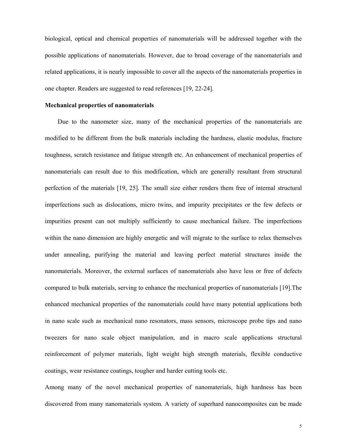biological, optical and chemical properties of nanomaterials will be addressed together with the possible applications of nanomaterials. However, due to broad coverage of the nanomaterials and related applications, it is nearly impossible to cover all the aspects of the nanomaterials properties in one chapter. Readers are suggested to read references [19, 22-24].

# **Mechanical properties of nanomaterials**

Due to the nanometer size, many of the mechanical properties of the nanomaterials are modified to be different from the bulk materials including the hardness, elastic modulus, fracture toughness, scratch resistance and fatigue strength etc. An enhancement of mechanical properties of nanomaterials can result due to this modification, which are generally resultant from structural perfection of the materials [19, 25]. The small size either renders them free of internal structural imperfections such as dislocations, micro twins, and impurity precipitates or the few defects or impurities present can not multiply sufficiently to cause mechanical failure. The imperfections within the nano dimension are highly energetic and will migrate to the surface to relax themselves under annealing, purifying the material and leaving perfect material structures inside the nanomaterials. Moreover, the external surfaces of nanomaterials also have less or free of defects compared to bulk materials, serving to enhance the mechanical properties of nanomaterials [19].The enhanced mechanical properties of the nanomaterials could have many potential applications both in nano scale such as mechanical nano resonators, mass sensors, microscope probe tips and nano tweezers for nano scale object manipulation, and in macro scale applications structural reinforcement of polymer materials, light weight high strength materials, flexible conductive coatings, wear resistance coatings, tougher and harder cutting tools etc.

Among many of the novel mechanical properties of nanomaterials, high hardness has been discovered from many nanomaterials system. A variety of superhard nanocomposites can be made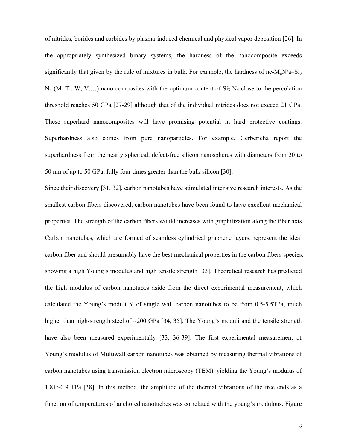of nitrides, borides and carbides by plasma-induced chemical and physical vapor deposition [26]. In the appropriately synthesized binary systems, the hardness of the nanocomposite exceeds significantly that given by the rule of mixtures in bulk. For example, the hardness of nc- $M_nN/a-Si_3$  $N_4$  (M=Ti, W, V,...) nano-composites with the optimum content of  $Si_3 N_4$  close to the percolation threshold reaches 50 GPa [27-29] although that of the individual nitrides does not exceed 21 GPa. These superhard nanocomposites will have promising potential in hard protective coatings. Superhardness also comes from pure nanoparticles. For example, Gerbericha report the superhardness from the nearly spherical, defect-free silicon nanospheres with diameters from 20 to 50 nm of up to 50 GPa, fully four times greater than the bulk silicon [30].

Since their discovery [31, 32], carbon nanotubes have stimulated intensive research interests. As the smallest carbon fibers discovered, carbon nanotubes have been found to have excellent mechanical properties. The strength of the carbon fibers would increases with graphitization along the fiber axis. Carbon nanotubes, which are formed of seamless cylindrical graphene layers, represent the ideal carbon fiber and should presumably have the best mechanical properties in the carbon fibers species, showing a high Young's modulus and high tensile strength [33]. Theoretical research has predicted the high modulus of carbon nanotubes aside from the direct experimental measurement, which calculated the Young's moduli Y of single wall carbon nanotubes to be from 0.5-5.5TPa, much higher than high-strength steel of ~200 GPa [34, 35]. The Young's moduli and the tensile strength have also been measured experimentally [33, 36-39]. The first experimental measurement of Young's modulus of Multiwall carbon nanotubes was obtained by measuring thermal vibrations of carbon nanotubes using transmission electron microscopy (TEM), yielding the Young's modulus of 1.8+/-0.9 TPa [38]. In this method, the amplitude of the thermal vibrations of the free ends as a function of temperatures of anchored nanotuebes was correlated with the young's modulous. Figure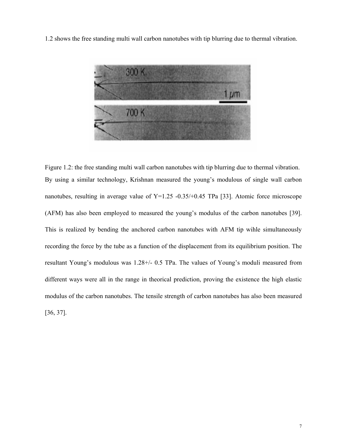1.2 shows the free standing multi wall carbon nanotubes with tip blurring due to thermal vibration.



Figure 1.2: the free standing multi wall carbon nanotubes with tip blurring due to thermal vibration. By using a similar technology, Krishnan measured the young's modulous of single wall carbon nanotubes, resulting in average value of  $Y=1.25 -0.35/0.45$  TPa [33]. Atomic force microscope (AFM) has also been employed to measured the young's modulus of the carbon nanotubes [39]. This is realized by bending the anchored carbon nanotubes with AFM tip wihle simultaneously recording the force by the tube as a function of the displacement from its equilibrium position. The resultant Young's modulous was 1.28+/- 0.5 TPa. The values of Young's moduli measured from different ways were all in the range in theorical prediction, proving the existence the high elastic modulus of the carbon nanotubes. The tensile strength of carbon nanotubes has also been measured [36, 37].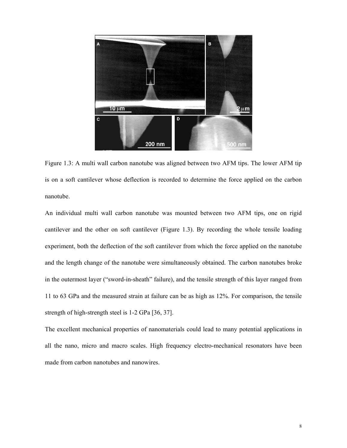

Figure 1.3: A multi wall carbon nanotube was aligned between two AFM tips. The lower AFM tip is on a soft cantilever whose deflection is recorded to determine the force applied on the carbon nanotube.

An individual multi wall carbon nanotube was mounted between two AFM tips, one on rigid cantilever and the other on soft cantilever (Figure 1.3). By recording the whole tensile loading experiment, both the deflection of the soft cantilever from which the force applied on the nanotube and the length change of the nanotube were simultaneously obtained. The carbon nanotubes broke in the outermost layer ("sword-in-sheath" failure), and the tensile strength of this layer ranged from 11 to 63 GPa and the measured strain at failure can be as high as 12%. For comparison, the tensile strength of high-strength steel is 1-2 GPa [36, 37].

The excellent mechanical properties of nanomaterials could lead to many potential applications in all the nano, micro and macro scales. High frequency electro-mechanical resonators have been made from carbon nanotubes and nanowires.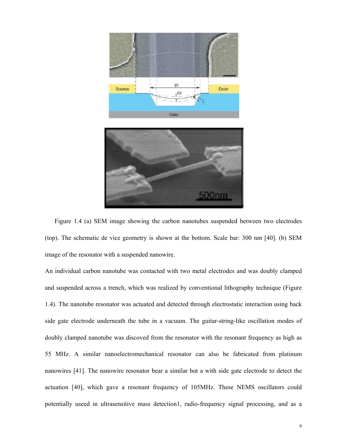

Figure 1.4 (a) SEM image showing the carbon nanotubes suspended between two electrodes (top). The schematic de vice geometry is shown at the bottom. Scale bar: 300 nm [40]. (b) SEM image of the resonator with a suspended nanowire.

An individual carbon nanotube was contacted with two metal electrodes and was doubly clamped and suspended across a trench, which was realized by conventional lithography technique (Figure 1.4). The nanotube resonator was actuated and detected through electrostatic interaction using back side gate electrode underneath the tube in a vacuum. The guitar-string-like oscillation modes of doubly clamped nanotube was discoved from the resonator with the resonant frequency as high as 55 MHz. A similar nanoelectromechanical resonator can also be fabricated from platinum nanowires [41]. The nanowire resonator bear a similar but a with side gate electrode to detect the actuation [40], which gave a resonant frequency of 105MHz. These NEMS oscillators could potentially useed in ultrasensitive mass detection1, radio-frequency signal processing, and as a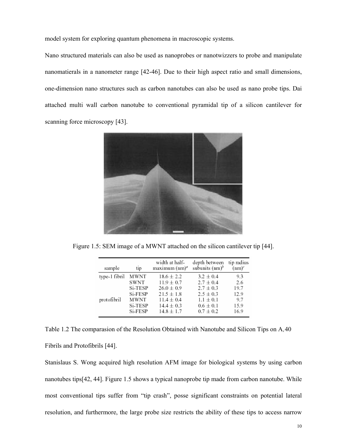model system for exploring quantum phenomena in macroscopic systems.

Nano structured materials can also be used as nanoprobes or nanotwizzers to probe and manipulate nanomatierals in a nanometer range [42-46]. Due to their high aspect ratio and small dimensions, one-dimension nano structures such as carbon nanotubes can also be used as nano probe tips. Dai attached multi wall carbon nanotube to conventional pyramidal tip of a silicon cantilever for scanning force microscopy [43].



Figure 1.5: SEM image of a MWNT attached on the silicon cantilever tip [44].

| sample        | tip     | width at half-<br>$maximum (nm)^{a}$ | depth between<br>subunits $(nm)^b$ | tip radius<br>(nm) |
|---------------|---------|--------------------------------------|------------------------------------|--------------------|
| type-1 fibril | MWNT    | $18.6 \pm 2.2$                       | $3.2 \pm 0.4$                      | 9.3                |
|               | SWNT    | $11.9 \pm 0.7$                       | $2.7 \pm 0.4$                      | 2.6                |
|               | Si-TESP | $26.0 \pm 0.9$                       | $2.7 \pm 0.3$                      | 19.7               |
|               | Si-FESP | $21.5 \pm 1.8$                       | $2.5 \pm 0.3$                      | 12.9               |
| protofibril   | MWNT    | $11.4 \pm 0.4$                       | $1.1 \pm 0.1$                      | 9.7                |
|               | Si-TESP | $14.4 \pm 0.3$                       | $0.6 \pm 0.1$                      | 15.9               |
|               | Si-FESP | $14.8 \pm 1.7$                       | $0.7 \pm 0.2$                      | 16.9               |

Table 1.2 The comparasion of the Resolution Obtained with Nanotube and Silicon Tips on A*'*40 Fibrils and Protofibrils [44].

Stanislaus S. Wong acquired high resolution AFM image for biological systems by using carbon nanotubes tips[42, 44]. Figure 1.5 shows a typical nanoprobe tip made from carbon nanotube. While most conventional tips suffer from "tip crash", posse significant constraints on potential lateral resolution, and furthermore, the large probe size restricts the ability of these tips to access narrow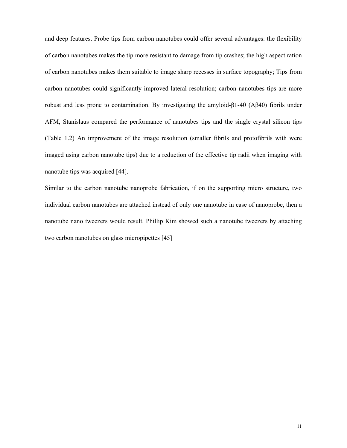and deep features. Probe tips from carbon nanotubes could offer several advantages: the flexibility of carbon nanotubes makes the tip more resistant to damage from tip crashes; the high aspect ration of carbon nanotubes makes them suitable to image sharp recesses in surface topography; Tips from carbon nanotubes could significantly improved lateral resolution; carbon nanotubes tips are more robust and less prone to contamination. By investigating the amyloid-β1-40 (Aβ40) fibrils under AFM, Stanislaus compared the performance of nanotubes tips and the single crystal silicon tips (Table 1.2) An improvement of the image resolution (smaller fibrils and protofibrils with were imaged using carbon nanotube tips) due to a reduction of the effective tip radii when imaging with nanotube tips was acquired [44].

Similar to the carbon nanotube nanoprobe fabrication, if on the supporting micro structure, two individual carbon nanotubes are attached instead of only one nanotube in case of nanoprobe, then a nanotube nano tweezers would result. Phillip Kim showed such a nanotube tweezers by attaching two carbon nanotubes on glass micropipettes [45]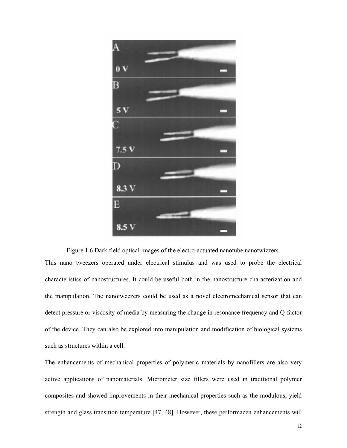

Figure 1.6 Dark field optical images of the electro-actuated nanotube nanotwizzers. This nano tweezers operated under electrical stimulus and was used to probe the electrical characteristics of nanostructures. It could be useful both in the nanostructure characterization and the manipulation. The nanotweezers could be used as a novel electromechanical sensor that can detect pressure or viscosity of media by measuring the change in resonance frequency and Q-factor of the device. They can also be explored into manipulation and modification of biological systems such as structures within a cell.

The enhancements of mechanical properties of polymeric materials by nanofillers are also very active applications of nanomaterials. Micrometer size fillers were used in traditional polymer composites and showed improvements in their mechanical properties such as the modulous, yield strength and glass transition temperature [47, 48]. However, these performacen enhancements will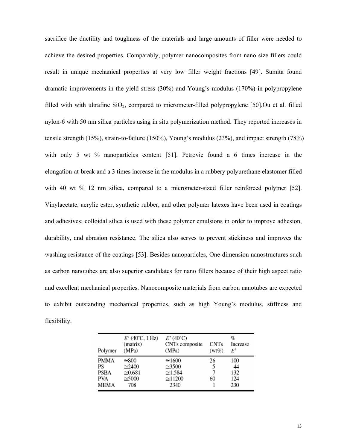sacrifice the ductility and toughness of the materials and large amounts of filler were needed to achieve the desired properties. Comparably, polymer nanocomposites from nano size fillers could result in unique mechanical properties at very low filler weight fractions [49]. Sumita found dramatic improvements in the yield stress (30%) and Young's modulus (170%) in polypropylene filled with with ultrafine  $SiO<sub>2</sub>$ , compared to micrometer-filled polypropylene [50]. Ou et al. filled nylon-6 with 50 nm silica particles using in situ polymerization method. They reported increases in tensile strength (15%), strain-to-failure (150%), Young's modulus (23%), and impact strength (78%) with only 5 wt % nanoparticles content [51]. Petrovic found a 6 times increase in the elongation-at-break and a 3 times increase in the modulus in a rubbery polyurethane elastomer filled with 40 wt % 12 nm silica, compared to a micrometer-sized filler reinforced polymer [52]. Vinylacetate, acrylic ester, synthetic rubber, and other polymer latexes have been used in coatings and adhesives; colloidal silica is used with these polymer emulsions in order to improve adhesion, durability, and abrasion resistance. The silica also serves to prevent stickiness and improves the washing resistance of the coatings [53]. Besides nanoparticles, One-dimension nanostructures such as carbon nanotubes are also superior candidates for nano fillers because of their high aspect ratio and excellent mechanical properties. Nanocomposite materials from carbon nanotubes are expected to exhibit outstanding mechanical properties, such as high Young's modulus, stiffness and flexibility.

| Polymer                                  | $E'$ (40°C, 1Hz)<br>(matrix)<br>(MPa)                                       | $E'$ (40°C)<br>CNTs composite<br>(MPa)                                         | <b>CNTs</b><br>$(wt\%)$ | q,<br>Increase<br>E'           |
|------------------------------------------|-----------------------------------------------------------------------------|--------------------------------------------------------------------------------|-------------------------|--------------------------------|
| PMMA<br>PS<br><b>PSBA</b><br>PVA<br>MEMA | $\approx 800$<br>$\approx 2400$<br>$\approx 0.681$<br>$\approx 5000$<br>708 | $\approx$ 1600<br>$\approx 3500$<br>$\approx 1.584$<br>$\approx$ 11200<br>2340 | 26<br>5<br>7<br>60      | 100<br>44<br>132<br>124<br>230 |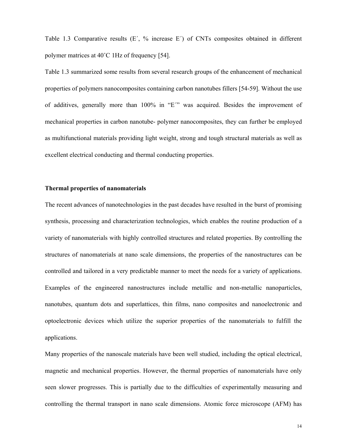Table 1.3 Comparative results  $(E', \mathcal{V}_0)$  increase  $E'$  of CNTs composites obtained in different polymer matrices at 40˚C 1Hz of frequency [54].

Table 1.3 summarized some results from several research groups of the enhancement of mechanical properties of polymers nanocomposites containing carbon nanotubes fillers [54-59]. Without the use of additives, generally more than 100% in "E´" was acquired. Besides the improvement of mechanical properties in carbon nanotube- polymer nanocomposites, they can further be employed as multifunctional materials providing light weight, strong and tough structural materials as well as excellent electrical conducting and thermal conducting properties.

## **Thermal properties of nanomaterials**

The recent advances of nanotechnologies in the past decades have resulted in the burst of promising synthesis, processing and characterization technologies, which enables the routine production of a variety of nanomaterials with highly controlled structures and related properties. By controlling the structures of nanomaterials at nano scale dimensions, the properties of the nanostructures can be controlled and tailored in a very predictable manner to meet the needs for a variety of applications. Examples of the engineered nanostructures include metallic and non-metallic nanoparticles, nanotubes, quantum dots and superlattices, thin films, nano composites and nanoelectronic and optoelectronic devices which utilize the superior properties of the nanomaterials to fulfill the applications.

Many properties of the nanoscale materials have been well studied, including the optical electrical, magnetic and mechanical properties. However, the thermal properties of nanomaterials have only seen slower progresses. This is partially due to the difficulties of experimentally measuring and controlling the thermal transport in nano scale dimensions. Atomic force microscope (AFM) has

14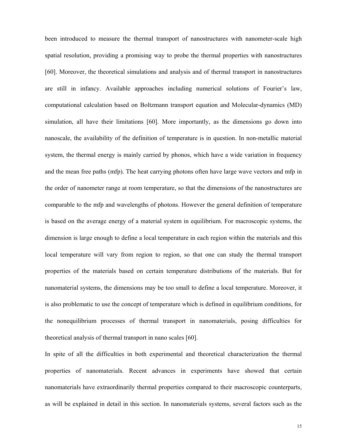been introduced to measure the thermal transport of nanostructures with nanometer-scale high spatial resolution, providing a promising way to probe the thermal properties with nanostructures [60]. Moreover, the theoretical simulations and analysis and of thermal transport in nanostructures are still in infancy. Available approaches including numerical solutions of Fourier's law, computational calculation based on Boltzmann transport equation and Molecular-dynamics (MD) simulation, all have their limitations [60]. More importantly, as the dimensions go down into nanoscale, the availability of the definition of temperature is in question. In non-metallic material system, the thermal energy is mainly carried by phonos, which have a wide variation in frequency and the mean free paths (mfp). The heat carrying photons often have large wave vectors and mfp in the order of nanometer range at room temperature, so that the dimensions of the nanostructures are comparable to the mfp and wavelengths of photons. However the general definition of temperature is based on the average energy of a material system in equilibrium. For macroscopic systems, the dimension is large enough to define a local temperature in each region within the materials and this local temperature will vary from region to region, so that one can study the thermal transport properties of the materials based on certain temperature distributions of the materials. But for nanomaterial systems, the dimensions may be too small to define a local temperature. Moreover, it is also problematic to use the concept of temperature which is defined in equilibrium conditions, for the nonequilibrium processes of thermal transport in nanomaterials, posing difficulties for theoretical analysis of thermal transport in nano scales [60].

In spite of all the difficulties in both experimental and theoretical characterization the thermal properties of nanomaterials. Recent advances in experiments have showed that certain nanomaterials have extraordinarily thermal properties compared to their macroscopic counterparts, as will be explained in detail in this section. In nanomaterials systems, several factors such as the

15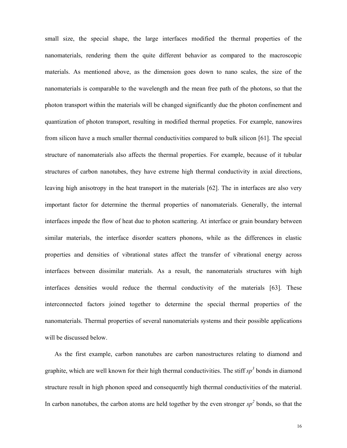small size, the special shape, the large interfaces modified the thermal properties of the nanomaterials, rendering them the quite different behavior as compared to the macroscopic materials. As mentioned above, as the dimension goes down to nano scales, the size of the nanomaterials is comparable to the wavelength and the mean free path of the photons, so that the photon transport within the materials will be changed significantly due the photon confinement and quantization of photon transport, resulting in modified thermal propeties. For example, nanowires from silicon have a much smaller thermal conductivities compared to bulk silicon [61]. The special structure of nanomaterials also affects the thermal properties. For example, because of it tubular structures of carbon nanotubes, they have extreme high thermal conductivity in axial directions, leaving high anisotropy in the heat transport in the materials [62]. The in interfaces are also very important factor for determine the thermal properties of nanomaterials. Generally, the internal interfaces impede the flow of heat due to photon scattering. At interface or grain boundary between similar materials, the interface disorder scatters phonons, while as the differences in elastic properties and densities of vibrational states affect the transfer of vibrational energy across interfaces between dissimilar materials. As a result, the nanomaterials structures with high interfaces densities would reduce the thermal conductivity of the materials [63]. These interconnected factors joined together to determine the special thermal properties of the nanomaterials. Thermal properties of several nanomaterials systems and their possible applications will be discussed below.

As the first example, carbon nanotubes are carbon nanostructures relating to diamond and graphite, which are well known for their high thermal conductivities. The stiff  $sp<sup>3</sup>$  bonds in diamond structure result in high phonon speed and consequently high thermal conductivities of the material. In carbon nanotubes, the carbon atoms are held together by the even stronger  $sp<sup>2</sup>$  bonds, so that the

16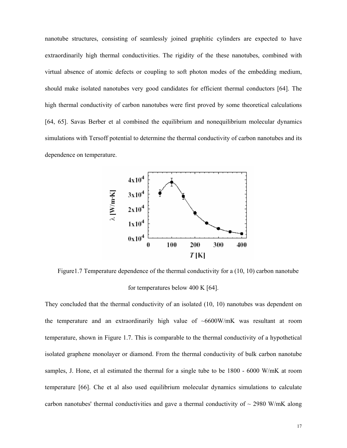nanotube structures, consisting of seamlessly joined graphitic cylinders are expected to have extraordinarily high thermal conductivities. The rigidity of the these nanotubes, combined with virtual absence of atomic defects or coupling to soft photon modes of the embedding medium, should make isolated nanotubes very good candidates for efficient thermal conductors [64]. The high thermal conductivity of carbon nanotubes were first proved by some theoretical calculations [64, 65]. Savas Berber et al combined the equilibrium and nonequilibrium molecular dynamics simulations with Tersoff potential to determine the thermal conductivity of carbon nanotubes and its dependence on temperature.



Figure 1.7 Temperature dependence of the thermal conductivity for a (10, 10) carbon nanotube for temperatures below 400 K [64].

They concluded that the thermal conductivity of an isolated (10, 10) nanotubes was dependent on the temperature and an extraordinarily high value of  $~6600$ W/mK was resultant at room temperature, shown in Figure 1.7. This is comparable to the thermal conductivity of a hypothetical isolated graphene monolayer or diamond. From the thermal conductivity of bulk carbon nanotube samples, J. Hone, et al estimated the thermal for a single tube to be 1800 - 6000 W/mK at room temperature [66]. Che et al also used equilibrium molecular dynamics simulations to calculate carbon nanotubes' thermal conductivities and gave a thermal conductivity of  $\sim$  2980 W/mK along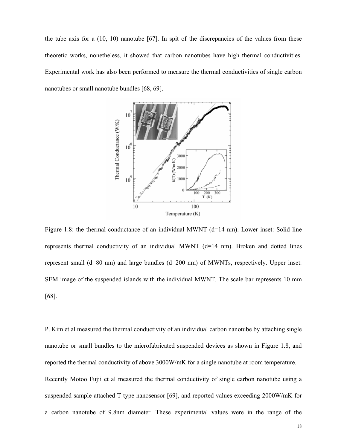the tube axis for a (10, 10) nanotube [67]. In spit of the discrepancies of the values from these theoretic works, nonetheless, it showed that carbon nanotubes have high thermal conductivities. Experimental work has also been performed to measure the thermal conductivities of single carbon nanotubes or small nanotube bundles [68, 69].



Figure 1.8: the thermal conductance of an individual MWNT (d=14 nm). Lower inset: Solid line represents thermal conductivity of an individual MWNT  $(d=14 \text{ nm})$ . Broken and dotted lines represent small (d=80 nm) and large bundles (d=200 nm) of MWNTs, respectively. Upper inset: SEM image of the suspended islands with the individual MWNT. The scale bar represents 10 mm [68].

P. Kim et al measured the thermal conductivity of an individual carbon nanotube by attaching single nanotube or small bundles to the microfabricated suspended devices as shown in Figure 1.8, and reported the thermal conductivity of above 3000W/mK for a single nanotube at room temperature. Recently Motoo Fujii et al measured the thermal conductivity of single carbon nanotube using a suspended sample-attached T-type nanosensor [69], and reported values exceeding 2000W/mK for a carbon nanotube of 9.8nm diameter. These experimental values were in the range of the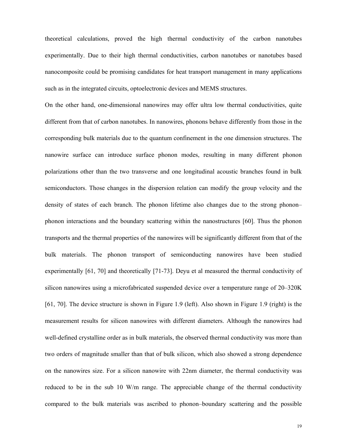theoretical calculations, proved the high thermal conductivity of the carbon nanotubes experimentally. Due to their high thermal conductivities, carbon nanotubes or nanotubes based nanocomposite could be promising candidates for heat transport management in many applications such as in the integrated circuits, optoelectronic devices and MEMS structures.

On the other hand, one-dimensional nanowires may offer ultra low thermal conductivities, quite different from that of carbon nanotubes. In nanowires, phonons behave differently from those in the corresponding bulk materials due to the quantum confinement in the one dimension structures. The nanowire surface can introduce surface phonon modes, resulting in many different phonon polarizations other than the two transverse and one longitudinal acoustic branches found in bulk semiconductors. Those changes in the dispersion relation can modify the group velocity and the density of states of each branch. The phonon lifetime also changes due to the strong phonon– phonon interactions and the boundary scattering within the nanostructures [60]. Thus the phonon transports and the thermal properties of the nanowires will be significantly different from that of the bulk materials. The phonon transport of semiconducting nanowires have been studied experimentally [61, 70] and theoretically [71-73]. Deyu et al measured the thermal conductivity of silicon nanowires using a microfabricated suspended device over a temperature range of 20–320K [61, 70]. The device structure is shown in Figure 1.9 (left). Also shown in Figure 1.9 (right) is the measurement results for silicon nanowires with different diameters. Although the nanowires had well-defined crystalline order as in bulk materials, the observed thermal conductivity was more than two orders of magnitude smaller than that of bulk silicon, which also showed a strong dependence on the nanowires size. For a silicon nanowire with 22nm diameter, the thermal conductivity was reduced to be in the sub 10 W/m range. The appreciable change of the thermal conductivity compared to the bulk materials was ascribed to phonon–boundary scattering and the possible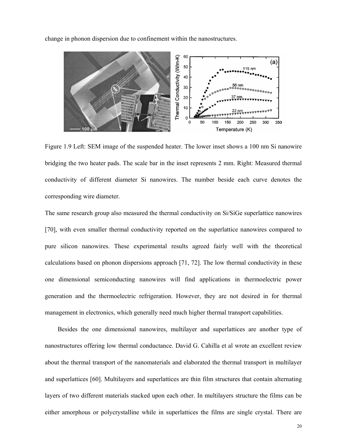change in phonon dispersion due to confinement within the nanostructures.



Figure 1.9 Left: SEM image of the suspended heater. The lower inset shows a 100 nm Si nanowire bridging the two heater pads. The scale bar in the inset represents 2 mm. Right: Measured thermal conductivity of different diameter Si nanowires. The number beside each curve denotes the corresponding wire diameter.

The same research group also measured the thermal conductivity on Si/SiGe superlattice nanowires [70], with even smaller thermal conductivity reported on the superlattice nanowires compared to pure silicon nanowires. These experimental results agreed fairly well with the theoretical calculations based on phonon dispersions approach [71, 72]. The low thermal conductivity in these one dimensional semiconducting nanowires will find applications in thermoelectric power generation and the thermoelectric refrigeration. However, they are not desired in for thermal management in electronics, which generally need much higher thermal transport capabilities.

Besides the one dimensional nanowires, multilayer and superlattices are another type of nanostructures offering low thermal conductance. David G. Cahilla et al wrote an excellent review about the thermal transport of the nanomaterials and elaborated the thermal transport in multilayer and superlattices [60]. Multilayers and superlattices are thin film structures that contain alternating layers of two different materials stacked upon each other. In multilayers structure the films can be either amorphous or polycrystalline while in superlattices the films are single crystal. There are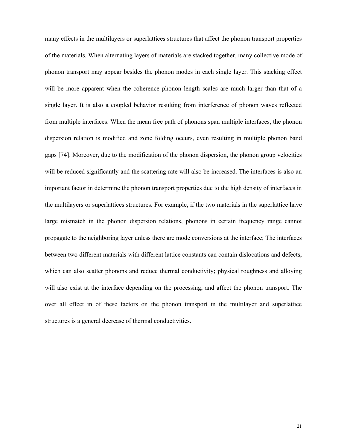many effects in the multilayers or superlattices structures that affect the phonon transport properties of the materials. When alternating layers of materials are stacked together, many collective mode of phonon transport may appear besides the phonon modes in each single layer. This stacking effect will be more apparent when the coherence phonon length scales are much larger than that of a single layer. It is also a coupled behavior resulting from interference of phonon waves reflected from multiple interfaces. When the mean free path of phonons span multiple interfaces, the phonon dispersion relation is modified and zone folding occurs, even resulting in multiple phonon band gaps [74]. Moreover, due to the modification of the phonon dispersion, the phonon group velocities will be reduced significantly and the scattering rate will also be increased. The interfaces is also an important factor in determine the phonon transport properties due to the high density of interfaces in the multilayers or superlattices structures. For example, if the two materials in the superlattice have large mismatch in the phonon dispersion relations, phonons in certain frequency range cannot propagate to the neighboring layer unless there are mode conversions at the interface; The interfaces between two different materials with different lattice constants can contain dislocations and defects, which can also scatter phonons and reduce thermal conductivity; physical roughness and alloying will also exist at the interface depending on the processing, and affect the phonon transport. The over all effect in of these factors on the phonon transport in the multilayer and superlattice structures is a general decrease of thermal conductivities.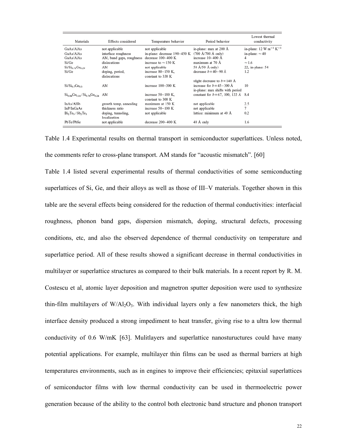| Materials                                  | Effects considered       | Temperature behavior         | Period behavior                        | Lowest thermal<br>conductivity |
|--------------------------------------------|--------------------------|------------------------------|----------------------------------------|--------------------------------|
| GaAs/AlAs                                  | not applicable           | not applicable               | in-plane: max at 200 A                 | in-plane: $12 W m^{-1} K^{-1}$ |
| GaAs/AlAs                                  | interface roughness      | in-plane: decrease 190-450 K | $(700 \text{ Å}/700 \text{ Å}$ only)   | in-plane: $\approx 40$         |
| GaAs/AlAs                                  | AM, band gaps, roughness | decrease 100-400 K           | increase 10-400 Å                      | 4                              |
| Si/Ge                                      | dislocations             | increase to $\approx$ 150 K  | maximum at 70 Å                        | $\approx 1.6$                  |
| $Si/Si_{0.71}Ge0.29$                       | AM                       | not applicable               | 50 A/50 Å only)                        | 22, in-plane: 54               |
| Si/Ge                                      | doping, period,          | increase $80-150$ K,         | decrease $h = 40-90$ Å                 | 1.2                            |
|                                            | dislocations             | constant to 330 K            |                                        |                                |
|                                            |                          |                              | slight decrease to $b = 140$ Å         |                                |
| $Si/Si0$ , Ge $_{0.3}$                     | AM                       | increase 100-300 K           | increase for $b = 45-300$ Å            | 10                             |
|                                            |                          |                              | in-plane: max shifts with period       |                                |
| $Si_{0.84}Ge_{0.16}/Si_{0.76}Ge_{0.24}$ AM |                          | increase 50-180 K.           | constant for $b = 67$ , 100, 133 Å 8.4 |                                |
|                                            |                          | constant to 300 K            |                                        |                                |
| InAs/AlSb                                  | growth temp, annealing   | maximum at 150 K             | not applicable                         | 2.5                            |
| InP/InGaAs                                 | thickness ratio          | increase 50-100 K            | not applicable                         | 7                              |
| $Bi_2Te_3/Sb_2Te_3$                        | doping, tunneling,       | not applicable               | lattice: minimum at 40 Å               | 0.2                            |
|                                            | localization             |                              |                                        |                                |
| PbTe/PbSe                                  | not applicable           | decrease 200-400 K           | 40 A only                              | 1.6                            |

Table 1.4 Experimental results on thermal transport in semiconductor superlattices. Unless noted, the comments refer to cross-plane transport. AM stands for "acoustic mismatch". [60]

Table 1.4 listed several experimental results of thermal conductivities of some semiconducting superlattices of Si, Ge, and their alloys as well as those of III–V materials. Together shown in this table are the several effects being considered for the reduction of thermal conductivities: interfacial roughness, phonon band gaps, dispersion mismatch, doping, structural defects, processing conditions, etc, and also the observed dependence of thermal conductivity on temperature and superlattice period. All of these results showed a significant decrease in thermal conductivities in multilayer or superlattice structures as compared to their bulk materials. In a recent report by R. M. Costescu et al, atomic layer deposition and magnetron sputter deposition were used to synthesize thin-film multilayers of  $W/A_2O_3$ . With individual layers only a few nanometers thick, the high interface density produced a strong impediment to heat transfer, giving rise to a ultra low thermal conductivity of 0.6 W/mK [63]. Mulitlayers and superlattice nanostuructures could have many potential applications. For example, multilayer thin films can be used as thermal barriers at high temperatures environments, such as in engines to improve their efficiencies; epitaxial superlattices of semiconductor films with low thermal conductivity can be used in thermoelectric power generation because of the ability to the control both electronic band structure and phonon transport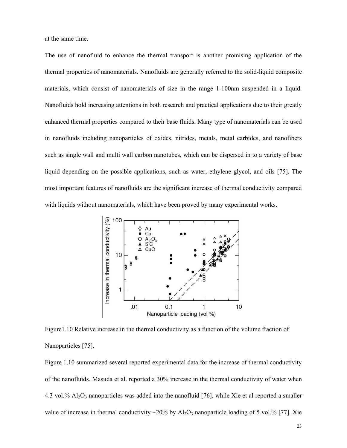at the same time.

The use of nanofluid to enhance the thermal transport is another promising application of the thermal properties of nanomaterials. Nanofluids are generally referred to the solid-liquid composite materials, which consist of nanomaterials of size in the range 1-100nm suspended in a liquid. Nanofluids hold increasing attentions in both research and practical applications due to their greatly enhanced thermal properties compared to their base fluids. Many type of nanomaterials can be used in nanofluids including nanoparticles of oxides, nitrides, metals, metal carbides, and nanofibers such as single wall and multi wall carbon nanotubes, which can be dispersed in to a variety of base liquid depending on the possible applications, such as water, ethylene glycol, and oils [75]. The most important features of nanofluids are the significant increase of thermal conductivity compared with liquids without nanomaterials, which have been proved by many experimental works.



Figure1.10 Relative increase in the thermal conductivity as a function of the volume fraction of Nanoparticles [75].

Figure 1.10 summarized several reported experimental data for the increase of thermal conductivity of the nanofluids. Masuda et al. reported a 30% increase in the thermal conductivity of water when 4.3 vol.%  $Al_2O_3$  nanoparticles was added into the nanofluid [76], while Xie et al reported a smaller value of increase in thermal conductivity  $\sim$ 20% by Al<sub>2</sub>O<sub>3</sub> nanoparticle loading of 5 vol.% [77]. Xie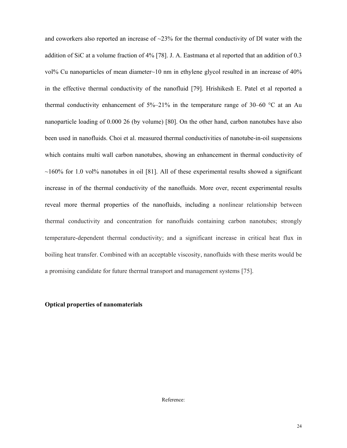and coworkers also reported an increase of  $\sim$ 23% for the thermal conductivity of DI water with the addition of SiC at a volume fraction of 4% [78]. J. A. Eastmana et al reported that an addition of 0.3 vol% Cu nanoparticles of mean diameter~10 nm in ethylene glycol resulted in an increase of 40% in the effective thermal conductivity of the nanofluid [79]. Hrishikesh E. Patel et al reported a thermal conductivity enhancement of  $5\%-21\%$  in the temperature range of 30–60  $\degree$ C at an Au nanoparticle loading of 0.000 26 (by volume) [80]. On the other hand, carbon nanotubes have also been used in nanofluids. Choi et al. measured thermal conductivities of nanotube-in-oil suspensions which contains multi wall carbon nanotubes, showing an enhancement in thermal conductivity of  $\sim$ 160% for 1.0 vol% nanotubes in oil [81]. All of these experimental results showed a significant increase in of the thermal conductivity of the nanofluids. More over, recent experimental results reveal more thermal properties of the nanofluids, including a nonlinear relationship between thermal conductivity and concentration for nanofluids containing carbon nanotubes; strongly temperature-dependent thermal conductivity; and a significant increase in critical heat flux in boiling heat transfer. Combined with an acceptable viscosity, nanofluids with these merits would be a promising candidate for future thermal transport and management systems [75].

## **Optical properties of nanomaterials**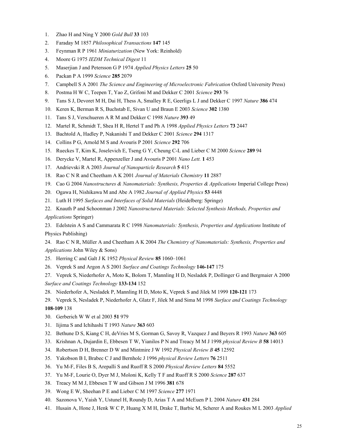- 1. Zhao H and Ning Y 2000 *Gold Bull* **33** 103
- 2. Faraday M 1857 *Philosophical Transactions* **147** 145
- 3. Feynman R P 1961 *Miniaturization* (New York: Reinhold)
- 4. Moore G 1975 *IEDM Technical Digest* 11
- 5. Maserjian J and Petersson G P 1974 *Applied Physics Letters* **25** 50
- 6. Packan P A 1999 *Science* **285** 2079
- 7. Campbell S A 2001 *The Science and Engineering of Microelectronic Fabrication* Oxford University Press)
- 8. Postma H W C, Teepen T, Yao Z, Grifoni M and Dekker C 2001 *Science* **293** 76
- 9. Tans S J, Devoret M H, Dai H, Thess A, Smalley R E, Geerligs L J and Dekker C 1997 *Nature* **386** 474
- 10. Keren K, Berman R S, Buchstab E, Sivan U and Braun E 2003 *Science* **302** 1380
- 11. Tans S J, Verschueren A R M and Dekker C 1998 *Nature* **393** 49
- 12. Martel R, Schmidt T, Shea H R, Hertel T and Ph A 1998 *Applied Physics Letters* **73** 2447
- 13. Bachtold A, Hadley P, Nakanishi T and Dekker C 2001 *Science* **294** 1317
- 14. Collins P G, Arnold M S and Avouris P 2001 *Science* **292** 706
- 15. Rueckes T, Kim K, Joselevich E, Tseng G Y, Cheung C-L and Lieber C M 2000 *Science* **289** 94
- 16. Derycke V, Martel R, Appenzeller J and Avouris P 2001 *Nano Lett.* **1** 453
- 17. Andrievski R A 2003 *Journal of Nanoparticle Research* **5** 415
- 18. Rao C N R and Cheetham A K 2001 *Journal of Materials Chemistry* **11** 2887
- 19. Cao G 2004 *Nanostructures & Nanomaterials: Synthesis, Properties & Applications* Imperial College Press)
- 20. Ogawa H, Nishikawa M and Abe A 1982 *Journal of Applied Physics* **53** 4448
- 21. Luth H 1995 *Surfaces and Interfaces of Solid Materials* (Heidelberg: Springe)
- 22. Knauth P and Schoonman J 2002 *Nanostructured Materials: Selected Synthesis Methods, Properties and Applications* Springer)

23. Edelstein A S and Cammarata R C 1998 *Nanomaterials: Synthesis, Properties and Applications* Institute of Physics Publishing)

24. Rao C N R, Müller A and Cheetham A K 2004 *The Chemistry of Nanomaterials: Synthesis, Properties and Applications* John Wiley & Sons)

- 25. Herring C and Galt J K 1952 *Physical Review* **85** 1060–1061
- 26. Veprek S and Argon A S 2001 *Surface and Coatings Technology* **146-147** 175
- 27. Veprek S, Niederhofer A, Moto K, Bolom T, Mannling H D, Nesladek P, Dollinger G and Bergmaier A 2000 *Surface and Coatings Technology* **133-134** 152
- 28. Niederhofer A, Nesladek P, Mannling H D, Moto K, Veprek S and Jilek M 1999 **120-121** 173
- 29. Veprek S, Nesladek P, Niederhofer A, Glatz F, Jilek M and Sima M 1998 *Surface and Coatings Technology* **108-109** 138
- 30. Gerberich W W et al 2003 **51** 979
- 31. Iijima S and Ichihashi T 1993 *Nature* **363** 603
- 32. Bethune D S, Kiang C H, deVries M S, Gorman G, Savoy R, Vazquez J and Beyers R 1993 *Nature* **363** 605
- 33. Krishnan A, Dujardin E, Ebbesen T W, Yianilos P N and Treacy M M J 1998 *physical Review B* **58** 14013
- 34. Robertson D H, Brenner D W and Mintmire J W 1992 *Physical Review B* **45** 12592
- 35. Yakobson B I, Brabec C J and Bernholc J 1996 *physical Review Letters* **76** 2511
- 36. Yu M-F, Files B S, Arepalli S and Ruoff R S 2000 *Physical Review Letters* **84** 5552
- 37. Yu M-F, Lourie O, Dyer M J, Moloni K, Kelly T F and Ruoff R S 2000 *Science* **287** 637
- 38. Treacy M M J, Ebbesen T W and Gibson J M 1996 **381** 678
- 39. Wong E W, Sheehan P E and Lieber C M 1997 *Science* **277** 1971
- 40. Sazonova V, Yaish Y, Ustunel H, Roundy D, Arias T A and McEuen P L 2004 *Nature* **431** 284
- 41. Husain A, Hone J, Henk W C P, Huang X M H, Drake T, Barbic M, Scherer A and Roukes M L 2003 *Applied*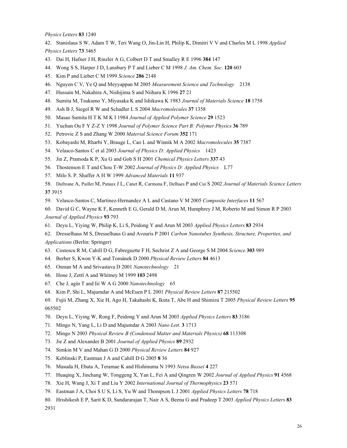*Physics Letters* **83** 1240

42. Stanislaus S W, Adam T W, Teri Wang O, Jin-Lin H, Philip K, Dimitri V V and Charles M L 1998 *Applied Physics Letters* **73** 3465

- 43. Dai H, Hafner J H, Rinzler A G, Colbert D T and Smalley R E 1996 **384** 147
- 44. Wong S S, Harper J D, Lansbury P T and Lieber C M 1998 *J. Am. Chem. Soc.* **120** 603
- 45. Kim P and Lieber C M 1999 *Science* **286** 2148
- 46. Nguyen C V, Ye Q and Meyyappan M 2005 *Measurement Science and Technology* 2138
- 47. Hussain M, Nakahira A, Nishijima S and Niihara K 1996 **27** 21
- 48. Sumita M, Tsukumo Y, Miyasaka K and Ishikawa K 1983 *Journal of Materials Science* **18** 1758
- 49. Ash B J, Siegel R W and Schadler L S 2004 *Macromolecules* **37** 1358
- 50. Masao Sumita H T K M K I 1984 *Journal of Applied Polymer Science* **29** 1523
- 51. Yuchun Ou F Y Z-Z Y 1998 *Journal of Polymer Science Part B: Polymer Physics* **36** 789
- 52. Petrovic Z S and Zhang W 2000 *Material Science Forum* **352** 171
- 53. Kobayashi M, Rharbi Y, Brauge L, Cao L and Winnik M A 2002 *Macromolecules* **35** 7387
- 54. Velasco-Santos C et al 2003 *Journal of Physics D: Applied Physics* 1423
- 55. Jin Z, Pramoda K P, Xu G and Goh S H 2001 *Chemical Physics Letters* **337** 43
- 56. Thostenson E T and Chou T-W 2002 *Journal of Physics D: Applied Physics* L77
- 57. Milo S. P. Shaffer A H W 1999 *Advanced Materials* **11** 937

58. Dufresne A, Paillet M, Putaux J L, Canet R, Carmona F, Delhaes P and Cui S 2002 *Journal of Materials Science Letters* **37** 3915

- 59. Velasco-Santos C, Martinez-Hernandez A L and Castano V M 2005 *Composite Interfaces* **11** 567
- 60. David G C, Wayne K F, Kenneth E G, Gerald D M, Arun M, Humphrey J M, Roberto M and Simon R P 2003 *Journal of Applied Physics* **93** 793
- 61. Deyu L, Yiying W, Philip K, Li S, Peidong Y and Arun M 2003 *Applied Physics Letters* **83** 2934
- 62. Dresselhaus M S, Dresselhaus G and Avouris P 2001 *Carbon Nanotubes Synthesis, Structure, Properties, and Applications* (Berlin: Springer)
- 63. Costescu R M, Cahill D G, Fabreguette F H, Sechrist Z A and George S M 2004 *Science* **303** 989
- 64. Berber S, Kwon Y-K and Tománek D 2000 *Physical Review Letters* **84** 4613
- 65. Osman M A and Srivastava D 2001 *Nanotechnology* 21
- 66. Hone J, Zettl A and Whitney M 1999 **103** 2498
- 67. Che J, agin T and Iii W A G 2000 *Nanotechnology* 65
- 68. Kim P, Shi L, Majumdar A and McEuen P L 2001 *Physical Review Letters* **87** 215502

69. Fujii M, Zhang X, Xie H, Ago H, Takahashi K, Ikuta T, Abe H and Shimizu T 2005 *Physical Review Letters* **95** 065502

- 70. Deyu L, Yiying W, Rong F, Peidong Y and Arun M 2003 *Applied Physics Letters* **83** 3186
- 71. Mingo N, Yang L, Li D and Majumdar A 2003 *Nano Lett.* **3** 1713
- 72. Mingo N 2003 *Physical Review B (Condensed Matter and Materials Physics)* **68** 113308
- 73. Jie Z and Alexander B 2001 *Journal of Applied Physics* **89** 2932
- 74. Simkin M V and Mahan G D 2000 *Physical Review Letters* **84** 927
- 75. Keblinski P, Eastman J A and Cahill D G 2005 **8** 36
- 76. Masuda H, Ebata A, Teramae K and Hishinuma N 1993 *Netsu Bussei* **4** 227
- 77. Huaqing X, Jinchang W, Tonggeng X, Yan L, Fei A and Qingren W 2002 *Journal of Applied Physics* **91** 4568
- 78. Xie H, Wang J, Xi T and Liu Y 2002 *International Journal of Thermophysics* **23** 571
- 79. Eastman J A, Choi S U S, Li S, Yu W and Thompson L J 2001 *Applied Physics Letters* **78** 718
- 80. Hrishikesh E P, Sarit K D, Sundararajan T, Nair A S, Beena G and Pradeep T 2003 *Applied Physics Letters* **83** 2931